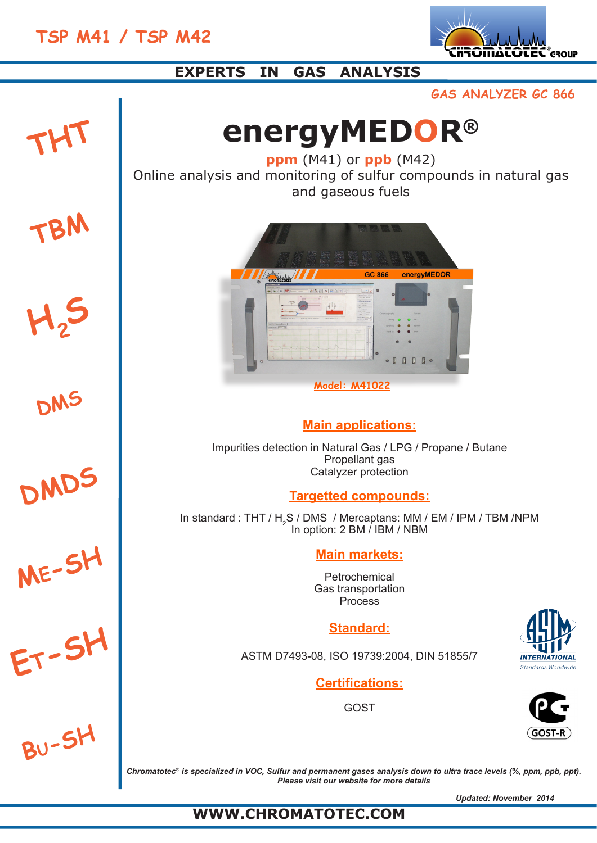



# **EXPERTS IN GAS ANALYSIS**

**GAS ANALYZER GC 866**

# **energyMEDOR®**

**ppm** (M41) or **ppb** (M42) Online analysis and monitoring of sulfur compounds in natural gas and gaseous fuels



# **Main applications:**

Impurities detection in Natural Gas / LPG / Propane / Butane Propellant gas Catalyzer protection

# **Targetted compounds:**

In standard : THT /  $H_2S$  / DMS / Mercaptans: MM / EM / IPM / TBM /NPM In option: 2 BM / IBM / NBM

# **Main markets:**

Petrochemical Gas transportation Process

# **Standard:**

ASTM D7493-08, ISO 19739:2004, DIN 51855/7

**Certifications:**

GOST





*Chromatotec® is specialized in VOC, Sulfur and permanent gases analysis down to ultra trace levels (%, ppm, ppb, ppt). Please visit our website for more details*

*Updated: November 2014*

# **WWW.CHROMATOTEC.COM**

**DMDS**

**<sup>M</sup>e-SH**

**H2<sup>S</sup>**

**THT**

**TBM**

**DMS**

**<sup>E</sup>t-SH**

**<sup>B</sup>u-SH**